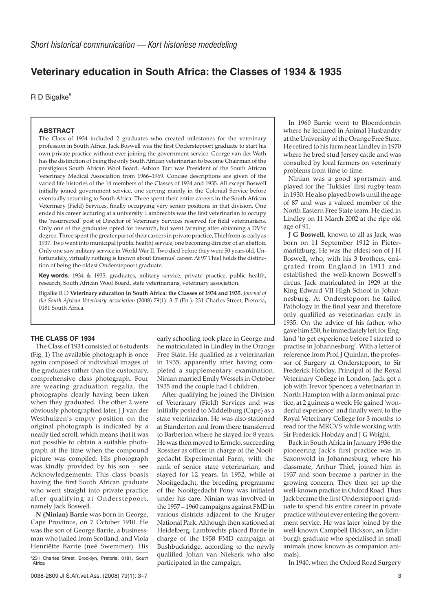# **Veterinary education in South Africa: the Classes of 1934 & 1935**

 $R$  D Bigalke<sup>a</sup>

## **ABSTRACT**

The Class of 1934 included 2 graduates who created milestones for the veterinary profession in South Africa. Jack Boswell was the first Onderstepoort graduate to start his own private practice without ever joining the government service. George van der Wath has the distinction of being the only South African veterinarian to become Chairman of the prestigious South African Wool Board. Ashton Tarr was President of the South African Veterinary Medical Association from 1966–1969. Concise descriptions are given of the varied life histories of the 14 members of the Classes of 1934 and 1935. All except Boswell initially joined government service, one serving mainly in the Colonial Service before eventually returning to South Africa. Three spent their entire careers in the South African Veterinary (Field) Services, finally occupying very senior positions in that division. One ended his career lecturing at a university. Lambrechts was the first veterinarian to occupy the 'resurrected' post of Director of Veterinary Services reserved for field veterinarians. Only one of the graduates opted for research, but went farming after obtaining a DVSc degree. Three spent the greater part of their careers in private practice, Thiel from as early as 1937. Two went into municipal (public health) service, one becoming director of an abattoir. Only one saw military service in World War II. Two died before they were 50 years old. Unfortunately, virtually nothing is known about Erasmus' career. At 97 Thiel holds the distinction of being the oldest Onderstepoort graduate.

**Key words**: 1934 & 1935, graduates, military service, private practice, public health, research, South African Wool Board, state veterinarians, veterinary association.

Bigalke R D **Veterinary education in South Africa: the Classes of 1934 and 1935**. *Journal of the South African Veterinary Association* (2008) 79(1): 3–7 (En.). 231 Charles Street, Pretoria, 0181 South Africa.

## **THE CLASS OF 1934**

The Class of 1934 consisted of 6 students (Fig. 1) The available photograph is once again composed of individual images of the graduates rather than the customary, comprehensive class photograph. Four are wearing graduation regalia, the photographs clearly having been taken when they graduated. The other 2 were obviously photographed later. J J van der Westhuizen's empty position on the original photograph is indicated by a neatly tied scroll, which means that it was not possible to obtain a suitable photograph at the time when the compound picture was compiled. His photograph was kindly provided by his son – see Acknowledgements. This class boasts having the first South African graduate who went straight into private practice after qualifying at Onderstepoort, namely Jack Boswell.

**N (Ninian) Barrie** was born in George, Cape Proviince, on 7 October 1910. He was the son of George Barrie, a businessman who hailed from Scotland, and Viola Henriëtte Barrie (neé Swemmer). His

early schooling took place in George and he matriculated in Lindley in the Orange Free State. He qualified as a veterinarian in 1935, apparently after having completed a supplementary examination. Ninian married Emily Wessels in October 1935 and the couple had 4 children.

After qualifying he joined the Division of Veterinary (Field) Services and was initially posted to Middelburg (Cape) as a state veterinarian. He was also stationed at Standerton and from there transferred to Barberton where he stayed for 8 years. He was then moved to Ermelo, succeeding Rossiter as officer in charge of the Nooitgedacht Experimental Farm, with the rank of senior state veterinarian, and stayed for 12 years. In 1952, while at Nooitgedacht, the breeding programme of the Nooitgedacht Pony was initiated under his care. Ninian was involved in the 1957 – 1960 campaigns against FMD in various districts adjacent to the Kruger National Park. Although then stationed at Heidelberg, Lambrechts placed Barrie in charge of the 1958 FMD campaign at Bushbuckridge, according to the newly qualified Johan van Niekerk who also participated in the campaign.

In 1960 Barrie went to Bloemfontein where he lectured in Animal Husbandry at the University of the Orange Free State. He retired to his farm near Lindley in 1970 where he bred stud Jersey cattle and was consulted by local farmers on veterinary problems from time to time.

Ninian was a good sportsman and played for the 'Tukkies' first rugby team in 1930. He also played bowls until the age of 87 and was a valued member of the North Eastern Free State team. He died in Lindley on 11 March 2002 at the ripe old age of 91.

**J G Boswell**, known to all as Jack, was born on 11 September 1912 in Pietermaritzburg. He was the eldest son of J H Boswell, who, with his 3 brothers, emigrated from England in 1911 and established the well-known Boswell's circus. Jack matriculated in 1929 at the King Edward VII High School in Johannesburg. At Onderstepoort he failed Pathology in the final year and therefore only qualified as veterinarian early in 1935. On the advice of his father, who gave him £50, he immediately left for England 'to get experience before I started to practise in Johannesburg'. With a letter of reference from Prof. J Quinlan, the professor of Surgery at Onderstepoort, to Sir Frederick Hobday, Principal of the Royal Veterinary College in London, Jack got a job with Trevor Spencer, a veterinarian in North Hampton with a farm animal practice, at 2 guineas a week. He gained 'wonderful experience' and finally went to the Royal Veterinary College for 3 months to read for the MRCVS while working with Sir Frederick Hobday and I G Wright.

Back in South Africa in January 1936 the pioneering Jack's first practice was in Saxonwold in Johannesburg where his classmate, Arthur Thiel, joined him in 1937 and soon became a partner in the growing concern. They then set up the well-known practice in Oxford Road. Thus Jack became the first Onderstepoort graduate to spend his entire career in private practice without ever entering the government service. He was later joined by the well-known Campbell Dickson, an Edinburgh graduate who specialised in small animals (now known as companion animals).

In 1940, when the Oxford Road Surgery

<sup>&</sup>lt;sup>a</sup>231 Charles Street, Brooklyn, Pretoria, 0181, South Africa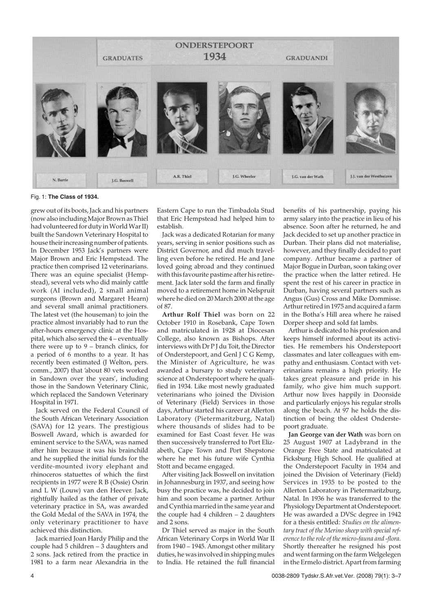

### Fig. 1: **The Class of 1934.**

grew out of its boots, Jack and his partners (now also including Major Brown as Thiel had volunteered for duty in World War II) built the Sandown Veterinary Hospital to house their increasing number of patients. In December 1953 Jack's partners were Major Brown and Eric Hempstead. The practice then comprised 12 veterinarians. There was an equine specialist (Hempstead), several vets who did mainly cattle work (AI included), 2 small animal surgeons (Brown and Margaret Hearn) and several small animal practitioners. The latest vet (the houseman) to join the practice almost invariably had to run the after-hours emergency clinic at the Hospital, which also served the 4 – eventually there were up to 9 – branch clinics, for a period of 6 months to a year. It has recently been estimated (J Welton, pers. comm., 2007) that 'about 80 vets worked in Sandown over the years', including those in the Sandown Veterinary Clinic, which replaced the Sandown Veterinary Hospital in 1971.

Jack served on the Federal Council of the South African Veterinary Association (SAVA) for 12 years. The prestigious Boswell Award, which is awarded for eminent service to the SAVA, was named after him because it was his brainchild and he supplied the initial funds for the verdite-mounted ivory elephant and rhinoceros statuettes of which the first recipients in 1977 were R B (Ossie) Osrin and L W (Louw) van den Heever. Jack, rightfully hailed as the father of private veterinary practice in SA, was awarded the Gold Medal of the SAVA in 1974, the only veterinary practitioner to have achieved this distinction.

Jack married Joan Hardy Philip and the couple had 5 children – 3 daughters and 2 sons. Jack retired from the practice in 1981 to a farm near Alexandria in the Eastern Cape to run the Timbadola Stud that Eric Hempstead had helped him to establish.

Jack was a dedicated Rotarian for many years, serving in senior positions such as District Governor, and did much travelling even before he retired. He and Jane loved going abroad and they continued with this favourite pastime after his retirement. Jack later sold the farm and finally moved to a retirement home in Nelspruit where he died on 20 March 2000 at the age of 87.

**Arthur Rolf Thiel** was born on 22 October 1910 in Rosebank, Cape Town and matriculated in 1928 at Diocesan College, also known as Bishops. After interviews with Dr P J du Toit, the Director of Onderstepoort, and Genl J C G Kemp, the Minister of Agriculture, he was awarded a bursary to study veterinary science at Onderstepoort where he qualified in 1934. Like most newly graduated veterinarians who joined the Division of Veterinary (Field) Services in those days, Arthur started his career at Allerton Laboratory (Pietermaritzburg, Natal) where thousands of slides had to be examined for East Coast fever. He was then successively transferred to Port Elizabeth, Cape Town and Port Shepstone where he met his future wife Cynthia Stott and became engaged.

After visiting Jack Boswell on invitation in Johannesburg in 1937, and seeing how busy the practice was, he decided to join him and soon became a partner. Arthur and Cynthia married in the same year and the couple had 4 children – 2 daughters and 2 sons.

Dr Thiel served as major in the South African Veterinary Corps in World War II from 1940 – 1945. Amongst other military duties, he was involved in shipping mules to India. He retained the full financial benefits of his partnership, paying his army salary into the practice in lieu of his absence. Soon after he returned, he and Jack decided to set up another practice in Durban. Their plans did not materialise, however, and they finally decided to part company. Arthur became a partner of Major Bogue in Durban, soon taking over the practice when the latter retired. He spent the rest of his career in practice in Durban, having several partners such as Angus (Gus) Cross and Mike Dommisse. Arthur retired in 1975 and acquired a farm in the Botha's Hill area where he raised Dorper sheep and sold fat lambs.

Arthur is dedicated to his profession and keeps himself informed about its activities. He remembers his Onderstepoort classmates and later colleagues with empathy and enthusiasm. Contact with veterinarians remains a high priority. He takes great pleasure and pride in his family, who give him much support. Arthur now lives happily in Doonside and particularly enjoys his regular strolls along the beach. At 97 he holds the distinction of being the oldest Onderstepoort graduate.

**Jan George van der Wath** was born on 25 August 1907 at Ladybrand in the Orange Free State and matriculated at Ficksburg High School. He qualified at the Onderstepoort Faculty in 1934 and joined the Division of Veterinary (Field) Services in 1935 to be posted to the Allerton Laboratory in Pietermaritzburg, Natal. In 1936 he was transferred to the Physiology Department at Onderstepoort. He was awarded a DVSc degree in 1942 for a thesis entitled: *Studies on the alimentary tract of the Merino sheep with special reference to the role of the micro-fauna and -flora.* Shortly thereafter he resigned his post and went farming on the farm Welgelegen in the Ermelo district. Apart from farming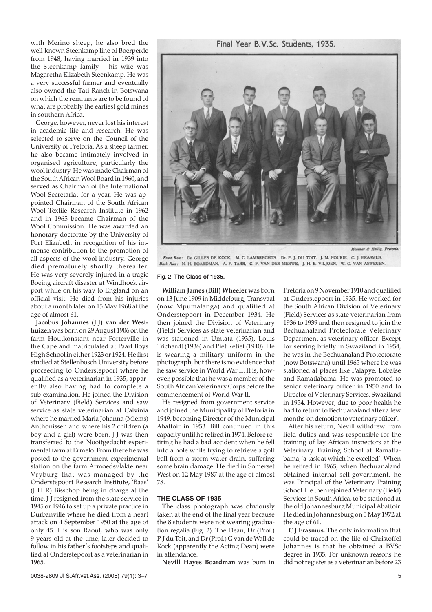Final Year B.V.Sc. Students, 1935.

with Merino sheep, he also bred the well-known Steenkamp line of Boerperde from 1948, having married in 1939 into the Steenkamp family – his wife was Magaretha Elizabeth Steenkamp. He was a very successful farmer and eventually also owned the Tati Ranch in Botswana on which the remnants are to be found of what are probably the earliest gold mines in southern Africa.

George, however, never lost his interest in academic life and research. He was selected to serve on the Council of the University of Pretoria. As a sheep farmer, he also became intimately involved in organised agriculture, particularly the wool industry. He was made Chairman of the South African Wool Board in 1960, and served as Chairman of the International Wool Secretariat for a year. He was appointed Chairman of the South African Wool Textile Research Institute in 1962 and in 1965 became Chairman of the Wool Commission. He was awarded an honorary doctorate by the University of Port Elizabeth in recognition of his immense contribution to the promotion of all aspects of the wool industry. George died prematurely shortly thereafter. He was very severely injured in a tragic Boeing aircraft disaster at Windhoek airport while on his way to England on an official visit. He died from his injuries about a month later on 15 May 1968 at the age of almost 61.

**Jacobus Johannes (J J) van der Westhuizen** was born on 29 August 1906 on the farm Houtkonstant near Porterville in the Cape and matriculated at Paarl Boys High School in either 1923 or 1924. He first studied at Stellenbosch University before proceeding to Onderstepoort where he qualified as a veterinarian in 1935, apparently also having had to complete a sub-examination. He joined the Division of Veterinary (Field) Services and saw service as state veterinarian at Calvinia where he married Maria Johanna (Miems) Anthonissen and where his 2 children (a boy and a girl) were born. II was then transferred to the Nooitgedacht experimental farm at Ermelo. From there he was posted to the government experimental station on the farm Armoedsvlakte near Vryburg that was managed by the Onderstepoort Research Institute, 'Baas' (J H R) Bisschop being in charge at the time. J J resigned from the state service in 1945 or 1946 to set up a private practice in Durbanville where he died from a heart attack on 4 September 1950 at the age of only 45. His son Raoul, who was only 9 years old at the time, later decided to follow in his father's footsteps and qualified at Onderstepoort as a veterinarian in 1965.





Front Row: Dr. GILLES DE KOCK. M. C. LAMBRECHTS. Dr. P. L. DU TOIT. L. M. FOURIE. C. L. ERASMUS. Back Row: N. H. BOARDMAN, A. F. TARR, G. F. VAN DER MERWE, J. H. B. VILJOEN, W. G. VAN ASWEGEN.

#### Fig. 2: **The Class of 1935.**

**William James (Bill) Wheeler** was born on 13 June 1909 in Middelburg, Transvaal (now Mpumalanga) and qualified at Onderstepoort in December 1934. He then joined the Division of Veterinary (Field) Services as state veterinarian and was stationed in Umtata (1935), Louis Trichardt (1936) and Piet Retief (1940). He is wearing a military uniform in the photograph, but there is no evidence that he saw service in World War II. It is, however, possible that he was a member of the South African Veterinary Corps before the commencement of World War II.

He resigned from government service and joined the Municipality of Pretoria in 1949, becoming Director of the Municipal Abattoir in 1953. Bill continued in this capacity until he retired in 1974. Before retiring he had a bad accident when he fell into a hole while trying to retrieve a golf ball from a storm water drain, suffering some brain damage. He died in Somerset West on 12 May 1987 at the age of almost 78.

# **THE CLASS OF 1935**

The class photograph was obviously taken at the end of the final year because the 8 students were not wearing graduation regalia (Fig. 2). The Dean, Dr (Prof.) P J du Toit, and Dr (Prof.) G van de Wall de Kock (apparently the Acting Dean) were in attendance.

**Nevill Hayes Boardman** was born in

Pretoria on 9 November 1910 and qualified at Onderstepoort in 1935. He worked for the South African Division of Veterinary (Field) Services as state veterinarian from 1936 to 1939 and then resigned to join the Bechuanaland Protectorate Veterinary Department as veterinary officer. Except for serving briefly in Swaziland in 1954, he was in the Bechuanaland Protectorate (now Botswana) until 1965 where he was stationed at places like Palapye, Lobatse and Ramatlabama. He was promoted to senior veterinary officer in 1950 and to Director of Veterinary Services, Swaziland in 1954. However, due to poor health he had to return to Bechuanaland after a few months 'on demotion to veterinary officer'.

After his return, Nevill withdrew from field duties and was responsible for the training of lay African inspectors at the Veterinary Training School at Ramatlabama, 'a task at which he excelled'. When he retired in 1965, when Bechuanaland obtained internal self-government, he was Principal of the Veterinary Training School. He then rejoined Veterinary (Field) Services in South Africa, to be stationed at the old Johannesburg Municipal Abattoir. He died in Johannesburg on 5 May 1972 at the age of 61.

**C J Erasmus.** The only information that could be traced on the life of Christoffel Johannes is that he obtained a BVSc degree in 1935. For unknown reasons he did not register as a veterinarian before 23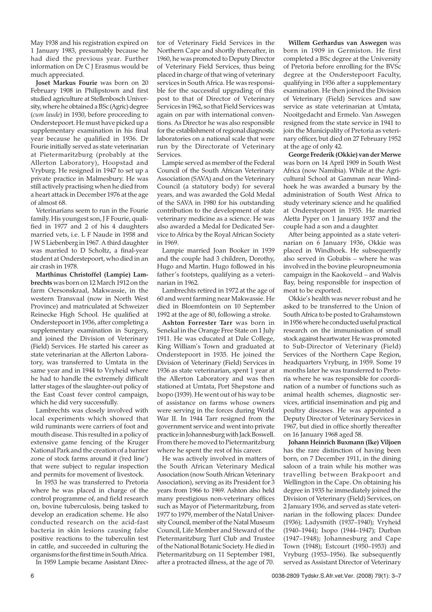May 1938 and his registration expired on 1 January 1983, presumably because he had died the previous year. Further information on Dr C J Erasmus would be much appreciated.

**Joset Markus Fourie** was born on 20 February 1908 in Philipstown and first studied agriculture at Stellenbosch University, where he obtained a BSc (Agric) degree (*cum laude*) in 1930, before proceeding to Onderstepoort. He must have picked up a supplementary examination in his final year because he qualified in 1936. Dr Fourie initially served as state veterinarian at Pietermaritzburg (probably at the Allerton Laboratory), Hoopstad and Vryburg. He resigned in 1947 to set up a private practice in Malmesbury. He was still actively practising when he died from a heart attack in December 1976 at the age of almost 68.

Veterinarians seem to run in the Fourie family. His youngest son, JF Fourie, qualified in 1977 and 2 of his 4 daughters married vets, i.e. L F Naude in 1958 and J W S Liebenberg in 1967. A third daughter was married to D Scholtz, a final-year student at Onderstepoort, who died in an air crash in 1978.

**Marthinus Christoffel (Lampie) Lambrechts** was born on 12 March 1912 on the farm Oersonskraal, Makwassie, in the western Transvaal (now in North West Province) and matriculated at Schweizer Reinecke High School. He qualified at Onderstepoort in 1936, after completing a supplementary examination in Surgery, and joined the Division of Veterinary (Field) Services. He started his career as state veterinarian at the Allerton Laboratory, was transferred to Umtata in the same year and in 1944 to Vryheid where he had to handle the extremely difficult latter stages of the slaughter-out policy of the East Coast fever control campaign, which he did very successfully.

Lambrechts was closely involved with local experiments which showed that wild ruminants were carriers of foot and mouth disease. This resulted in a policy of extensive game fencing of the Kruger National Park and the creation of a barrier zone of stock farms around it ('red line') that were subject to regular inspection and permits for movement of livestock.

In 1953 he was transferred to Pretoria where he was placed in charge of the control programme of, and field research on, bovine tuberculosis, being tasked to develop an eradication scheme. He also conducted research on the acid-fast bacteria in skin lesions causing false positive reactions to the tuberculin test in cattle, and succeeded in culturing the organisms for the first time in South Africa.

In 1959 Lampie became Assistant Direc-

tor of Veterinary Field Services in the Northern Cape and shortly thereafter, in 1960, he was promoted to Deputy Director of Veterinary Field Services, thus being placed in charge of that wing of veterinary services in South Africa. He was responsible for the successful upgrading of this post to that of Director of Veterinary Services in 1962, so that Field Services was again on par with international conventions. As Director he was also responsible for the establishment of regional diagnostic laboratories on a national scale that were run by the Directorate of Veterinary Services.

Lampie served as member of the Federal Council of the South African Veterinary Association (SAVA) and on the Veterinary Council (a statutory body) for several years, and was awarded the Gold Medal of the SAVA in 1980 for his outstanding contribution to the development of state veterinary medicine as a science. He was also awarded a Medal for Dedicated Service to Africa by the Royal African Society in 1969.

Lampie married Joan Booker in 1939 and the couple had 3 children, Dorothy, Hugo and Martin. Hugo followed in his father's footsteps, qualifying as a veterinarian in 1962.

Lambrechts retired in 1972 at the age of 60 and went farming near Makwassie. He died in Bloemfontein on 10 September 1992 at the age of 80, following a stroke.

**Ashton Forrester Tarr** was born in Senekal in the Orange Free State on 1 July 1911. He was educated at Dale College, King William's Town and graduated at Onderstepoort in 1935. He joined the Division of Veterinary (Field) Services in 1936 as state veterinarian, spent 1 year at the Allerton Laboratory and was then stationed at Umtata, Port Shepstone and Ixopo (1939). He went out of his way to be of assistance on farms whose owners were serving in the forces during World War II. In 1944 Tarr resigned from the government service and went into private practice in Johannesburg with Jack Boswell. From there he moved to Pietermaritzburg where he spent the rest of his career.

He was actively involved in matters of the South African Veterinary Medical Association (now South African Veterinary Association), serving as its President for 3 years from 1966 to 1969. Ashton also held many prestigious non-veterinary offices such as Mayor of Pietermaritzburg, from 1977 to 1979, member of the Natal University Council, member of the Natal Museum Council, Life Member and Steward of the Pietermaritzburg Turf Club and Trustee of the National Botanic Society. He died in Pietermaritzburg on 11 September 1981, after a protracted illness, at the age of 70.

**Willem Gerhardus van Aswegen** was born in 1909 in Germiston. He first completed a BSc degree at the University of Pretoria before enrolling for the BVSc degree at the Onderstepoort Faculty, qualifying in 1936 after a supplementary examination. He then joined the Division of Veterinary (Field) Services and saw service as state veterinarian at Umtata, Nooitgedacht and Ermelo. Van Aswegen resigned from the state service in 1941 to join the Municipality of Pretoria as veterinary officer, but died on 27 February 1952 at the age of only 42.

**George Frederik (Okkie) van der Merwe** was born on 14 April 1909 in South West Africa (now Namibia). While at the Agricultural School at Gamman near Windhoek he was awarded a bursary by the administration of South West Africa to study veterinary science and he qualified at Onderstepoort in 1935. He married Aletta Pyper on 1 January 1937 and the couple had a son and a daughter.

After being appointed as a state veterinarian on 6 January 1936, Okkie was placed in Windhoek. He subsequently also served in Gobabis – where he was involved in the bovine pleuropneumonia campaign in the Kaokoveld – and Walvis Bay, being responsible for inspection of meat to be exported.

Okkie's health was never robust and he asked to be transferred to the Union of South Africa to be posted to Grahamstown in 1956 where he conducted useful practical research on the immunisation of small stock against heartwater. He was promoted to Sub-Director of Veterinary (Field) Services of the Northern Cape Region, headquarters Vryburg, in 1959. Some 19 months later he was transferred to Pretoria where he was responsible for coordination of a number of functions such as animal health schemes, diagnostic services, artificial insemination and pig and poultry diseases. He was appointed a Deputy Director of Veterinary Services in 1967, but died in office shortly thereafter on 16 January 1968 aged 58.

**Johann Heinrich Buxmann (Ike) Viljoen** has the rare distinction of having been born, on 7 December 1911, in the dining saloon of a train while his mother was travelling between Brakpoort and Wellington in the Cape. On obtaining his degree in 1935 he immediately joined the Division of Veterinary (Field) Services, on 2 January 1936, and served as state veterinarian in the following places: Dundee (1936); Ladysmith (1937–1940); Vryheid (1940–1944); Ixopo (1944–1947); Durban (1947–1948); Johannesburg and Cape Town (1948); Estcourt (1950–1953) and Vryburg (1953–1956). Ike subsequently served as Assistant Director of Veterinary

6 0038-2809 Tydskr.S.Afr.vet.Ver. (2008) 79(1): 3–7